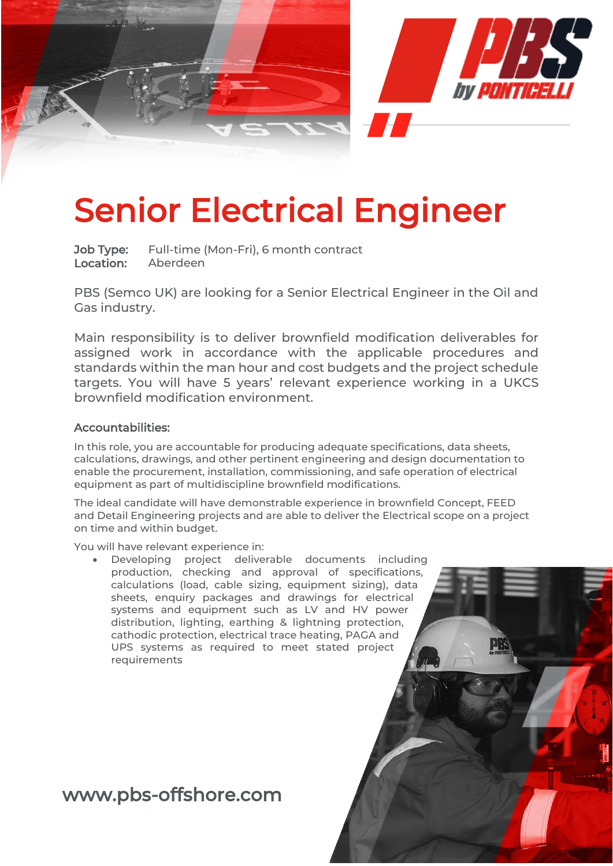

# Senior Electrical Engineer

Job Type: Full-time (Mon-Fri), 6 month contract Location: Aberdeen

PBS (Semco UK) are looking for a Senior Electrical Engineer in the Oil and Gas industry.

Main responsibility is to deliver brownfield modification deliverables for assigned work in accordance with the applicable procedures and standards within the man hour and cost budgets and the project schedule targets. You will have 5 years' relevant experience working in a UKCS brownfield modification environment.

### Accountabilities:

In this role, you are accountable for producing adequate specifications, data sheets, calculations, drawings, and other pertinent engineering and design documentation to enable the procurement, installation, commissioning, and safe operation of electrical equipment as part of multidiscipline brownfield modifications.

The ideal candidate will have demonstrable experience in brownfield Concept, FEED and Detail Engineering projects and are able to deliver the Electrical scope on a project on time and within budget.

You will have relevant experience in:

Developing project deliverable documents including production, checking and approval of specifications, calculations (load, cable sizing, equipment sizing), data sheets, enquiry packages and drawings for electrical systems and equipment such as LV and HV power distribution, lighting, earthing & lightning protection, cathodic protection, electrical trace heating, PAGA and UPS systems as required to meet stated project requirements

## www.pbs-offshore.com